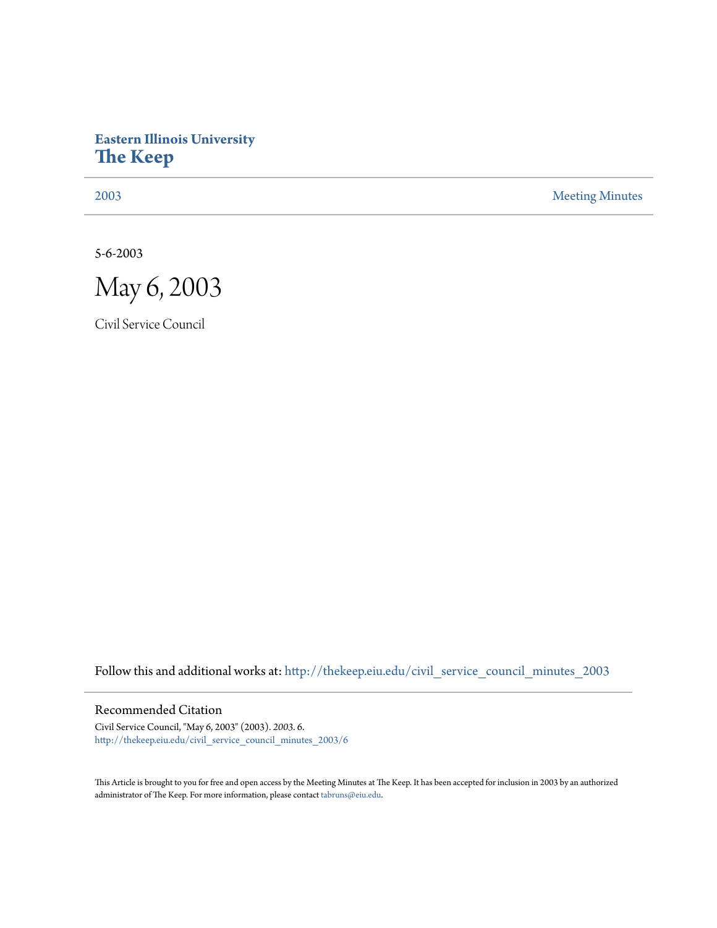## **Eastern Illinois University [The Keep](http://thekeep.eiu.edu?utm_source=thekeep.eiu.edu%2Fcivil_service_council_minutes_2003%2F6&utm_medium=PDF&utm_campaign=PDFCoverPages)**

[2003](http://thekeep.eiu.edu/civil_service_council_minutes_2003?utm_source=thekeep.eiu.edu%2Fcivil_service_council_minutes_2003%2F6&utm_medium=PDF&utm_campaign=PDFCoverPages) [Meeting Minutes](http://thekeep.eiu.edu/civil_service_council_minutes?utm_source=thekeep.eiu.edu%2Fcivil_service_council_minutes_2003%2F6&utm_medium=PDF&utm_campaign=PDFCoverPages)

5-6-2003



Civil Service Council

Follow this and additional works at: [http://thekeep.eiu.edu/civil\\_service\\_council\\_minutes\\_2003](http://thekeep.eiu.edu/civil_service_council_minutes_2003?utm_source=thekeep.eiu.edu%2Fcivil_service_council_minutes_2003%2F6&utm_medium=PDF&utm_campaign=PDFCoverPages)

## Recommended Citation

Civil Service Council, "May 6, 2003" (2003). *2003*. 6. [http://thekeep.eiu.edu/civil\\_service\\_council\\_minutes\\_2003/6](http://thekeep.eiu.edu/civil_service_council_minutes_2003/6?utm_source=thekeep.eiu.edu%2Fcivil_service_council_minutes_2003%2F6&utm_medium=PDF&utm_campaign=PDFCoverPages)

This Article is brought to you for free and open access by the Meeting Minutes at The Keep. It has been accepted for inclusion in 2003 by an authorized administrator of The Keep. For more information, please contact [tabruns@eiu.edu.](mailto:tabruns@eiu.edu)